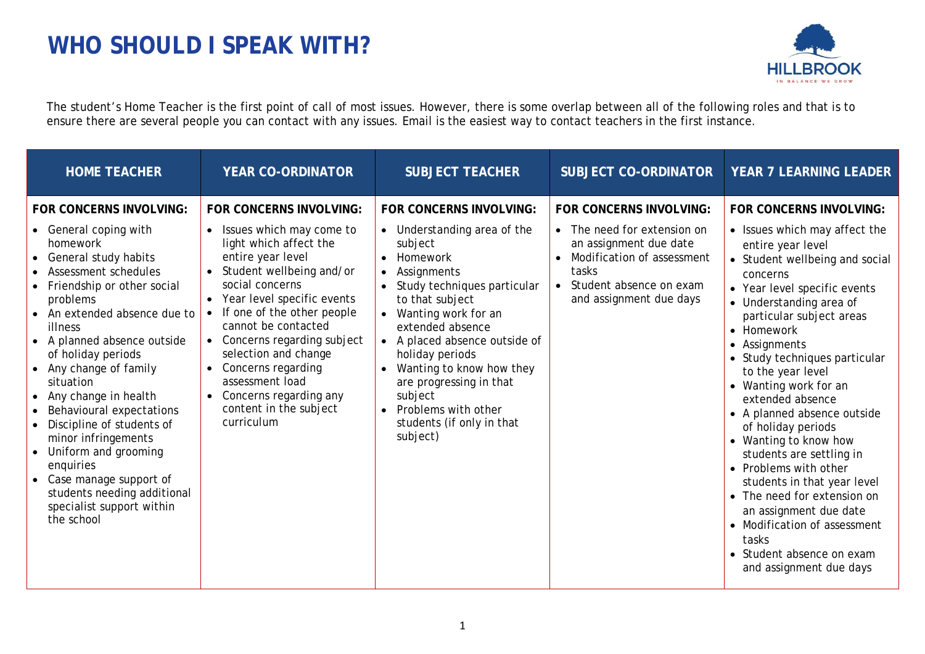## **WHO SHOULD I SPEAK WITH?**



The student's Home Teacher is the first point of call of most issues. However, there is some overlap between all of the following roles and that is to ensure there are several people you can contact with any issues. Email is the easiest way to contact teachers in the first instance.

| <b>HOME TEACHER</b>                                                                                                                                                                                                                                                                                                                                                                                                                                                                                                                                                                          | <b>YEAR CO-ORDINATOR</b>                                                                                                                                                                                                                                                                                                                                                                                                  | <b>SUBJECT TEACHER</b>                                                                                                                                                                                                                                                                                                                                                                             | <b>SUBJECT CO-ORDINATOR</b>                                                                                                                                                 | <b>YEAR 7 LEARNING LEADER</b>                                                                                                                                                                                                                                                                                                                                                                                                                                                                                                                                                                                                                                                    |
|----------------------------------------------------------------------------------------------------------------------------------------------------------------------------------------------------------------------------------------------------------------------------------------------------------------------------------------------------------------------------------------------------------------------------------------------------------------------------------------------------------------------------------------------------------------------------------------------|---------------------------------------------------------------------------------------------------------------------------------------------------------------------------------------------------------------------------------------------------------------------------------------------------------------------------------------------------------------------------------------------------------------------------|----------------------------------------------------------------------------------------------------------------------------------------------------------------------------------------------------------------------------------------------------------------------------------------------------------------------------------------------------------------------------------------------------|-----------------------------------------------------------------------------------------------------------------------------------------------------------------------------|----------------------------------------------------------------------------------------------------------------------------------------------------------------------------------------------------------------------------------------------------------------------------------------------------------------------------------------------------------------------------------------------------------------------------------------------------------------------------------------------------------------------------------------------------------------------------------------------------------------------------------------------------------------------------------|
| FOR CONCERNS INVOLVING:<br>General coping with<br>$\bullet$<br>homework<br>General study habits<br>$\bullet$<br>Assessment schedules<br>Friendship or other social<br>problems<br>An extended absence due to<br>illness<br>• A planned absence outside<br>of holiday periods<br>Any change of family<br>$\bullet$<br>situation<br>Any change in health<br>Behavioural expectations<br>Discipline of students of<br>minor infringements<br>Uniform and grooming<br>enquiries<br>Case manage support of<br>$\bullet$<br>students needing additional<br>specialist support within<br>the school | <b>FOR CONCERNS INVOLVING:</b><br>Issues which may come to<br>light which affect the<br>entire year level<br>Student wellbeing and/or<br>social concerns<br>Year level specific events<br>If one of the other people<br>cannot be contacted<br>Concerns regarding subject<br>selection and change<br>Concerns regarding<br>$\bullet$<br>assessment load<br>Concerns regarding any<br>content in the subject<br>curriculum | FOR CONCERNS INVOLVING:<br>• Understanding area of the<br>subject<br>• Homework<br>Assignments<br>• Study techniques particular<br>to that subject<br>Wanting work for an<br>extended absence<br>• A placed absence outside of<br>holiday periods<br>Wanting to know how they<br>$\bullet$<br>are progressing in that<br>subject<br>• Problems with other<br>students (if only in that<br>subject) | FOR CONCERNS INVOLVING:<br>The need for extension on<br>an assignment due date<br>Modification of assessment<br>tasks<br>Student absence on exam<br>and assignment due days | FOR CONCERNS INVOLVING:<br>• Issues which may affect the<br>entire year level<br>• Student wellbeing and social<br>concerns<br>• Year level specific events<br>• Understanding area of<br>particular subject areas<br>• Homework<br>• Assignments<br>• Study techniques particular<br>to the year level<br>• Wanting work for an<br>extended absence<br>• A planned absence outside<br>of holiday periods<br>• Wanting to know how<br>students are settling in<br>• Problems with other<br>students in that year level<br>• The need for extension on<br>an assignment due date<br>• Modification of assessment<br>tasks<br>• Student absence on exam<br>and assignment due days |